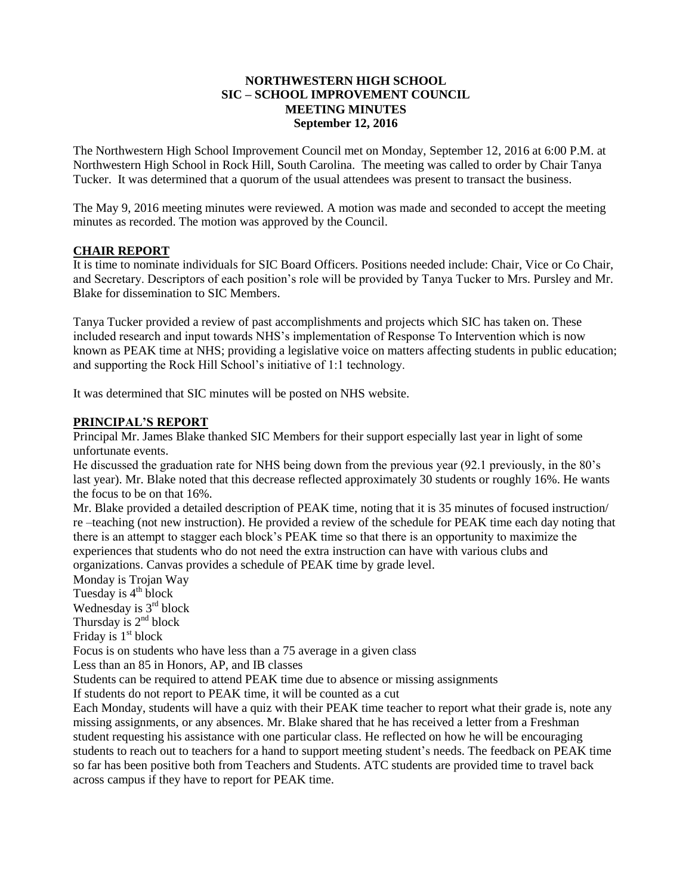### **NORTHWESTERN HIGH SCHOOL SIC – SCHOOL IMPROVEMENT COUNCIL MEETING MINUTES September 12, 2016**

The Northwestern High School Improvement Council met on Monday, September 12, 2016 at 6:00 P.M. at Northwestern High School in Rock Hill, South Carolina. The meeting was called to order by Chair Tanya Tucker. It was determined that a quorum of the usual attendees was present to transact the business.

The May 9, 2016 meeting minutes were reviewed. A motion was made and seconded to accept the meeting minutes as recorded. The motion was approved by the Council.

# **CHAIR REPORT**

It is time to nominate individuals for SIC Board Officers. Positions needed include: Chair, Vice or Co Chair, and Secretary. Descriptors of each position's role will be provided by Tanya Tucker to Mrs. Pursley and Mr. Blake for dissemination to SIC Members.

Tanya Tucker provided a review of past accomplishments and projects which SIC has taken on. These included research and input towards NHS's implementation of Response To Intervention which is now known as PEAK time at NHS; providing a legislative voice on matters affecting students in public education; and supporting the Rock Hill School's initiative of 1:1 technology.

It was determined that SIC minutes will be posted on NHS website.

# **PRINCIPAL'S REPORT**

Principal Mr. James Blake thanked SIC Members for their support especially last year in light of some unfortunate events.

He discussed the graduation rate for NHS being down from the previous year (92.1 previously, in the 80's last year). Mr. Blake noted that this decrease reflected approximately 30 students or roughly 16%. He wants the focus to be on that 16%.

Mr. Blake provided a detailed description of PEAK time, noting that it is 35 minutes of focused instruction/ re –teaching (not new instruction). He provided a review of the schedule for PEAK time each day noting that there is an attempt to stagger each block's PEAK time so that there is an opportunity to maximize the experiences that students who do not need the extra instruction can have with various clubs and organizations. Canvas provides a schedule of PEAK time by grade level.

Monday is Trojan Way Tuesday is  $4<sup>th</sup>$  block Wednesday is  $3<sup>rd</sup>$  block Thursday is  $2<sup>nd</sup> block$ Friday is  $1<sup>st</sup>$  block Focus is on students who have less than a 75 average in a given class Less than an 85 in Honors, AP, and IB classes Students can be required to attend PEAK time due to absence or missing assignments If students do not report to PEAK time, it will be counted as a cut Each Monday, students will have a quiz with their PEAK time teacher to report what their grade is, note any missing assignments, or any absences. Mr. Blake shared that he has received a letter from a Freshman student requesting his assistance with one particular class. He reflected on how he will be encouraging students to reach out to teachers for a hand to support meeting student's needs. The feedback on PEAK time so far has been positive both from Teachers and Students. ATC students are provided time to travel back across campus if they have to report for PEAK time.